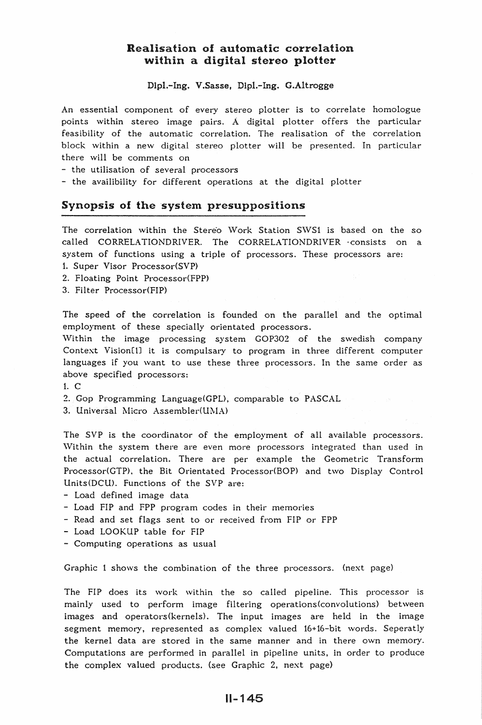## Realisation of automatic correlation within a digital stereo plotter

Dlpl.-Ing. V.Sasse, Dlpl.-Ing. G.Altrogge

An essential component of every stereo plotter is to correlate homologue points within stereo image pairs. A digital plotter offers the particular feasibility of the automatic correlation. The realisation of the correlation block within a new digital stereo plotter will be presented. In particular there will be comments on

- the utilisation of several processors

- the availibility for different operations at the digital plotter

### Synopsis of the system presuppositions

The correlation within the Stereo Work Station SWS1 is based on the so called CORRELATIONDRIVER. The CORRELATIONDRIVER consists on a system of functions using a triple of processors. These processors are:

1. Super Visor Processor(SVP)

2. Floating Point Processor(FPP)

3. Filter Processor(FIP)

The speed of the correlation is founded on the parallel and the optimal employment of these specially orientated processors.

Within the image processing system GOP302 of the swedish company Context Vision[1] it is compulsary to program in three different computer languages if you want to use these three processors. In the same order as above specified processors:

1. c

2. Gop Programming Language(GPL), comparable to PASCAL

3. Universal Micro Assembler(UMA)

The SVP is the coordinator of the employment of all available processors. Within the system there are even more processors integrated than used in the actual correlation. There are per example the Geometric Transform Processor(GTP), the Bit Orientated Processor(BOP) and two Display Control Units(DCU). Functions of the SVP are:

- Load defined image data
- Load FIP and FPP program codes in their memories
- Read and set flags sent to or received from FIP or FPP
- Load LOOKUP table for FIP
- Computing operations as usual

Graphic 1 shows the combination of the three processors. (next page)

The FIP does its work within the so called pipeline. This processor is mainly used to perform image filtering operations(convolutions) between images and operators(kernels). The input images are held in the image segment memory, represented as complex valued 16+16-bit words. Seperatly the kernel data are stored in the same manner and in there own memory. Computations are performed in parallel in pipeline units, in order to produce the complex valued products. (see Graphic 2, next page)

## 11-145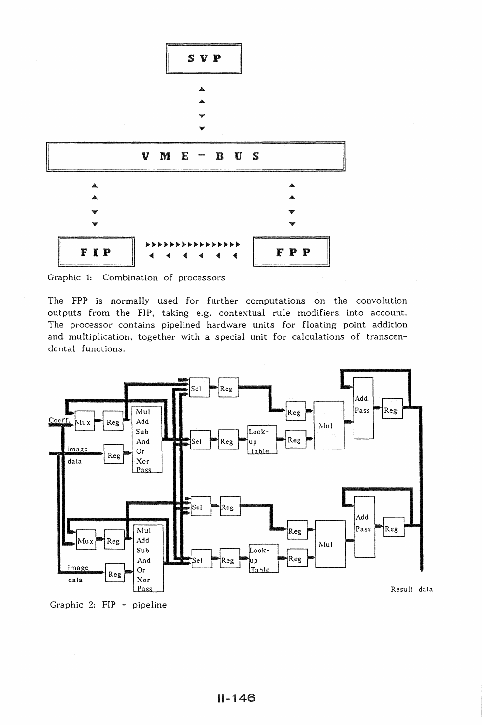

Graphic 1: Combination of processors

The FPP is normally used for further computations on the convolution outputs from the FIP, taking e.g. contextual rule modifiers into account. The processor contains pipelined hardware units for floating point addition and multiplication, together with a special unit for calculations of transcendental functions.



Graphic 2: FIP - pipeline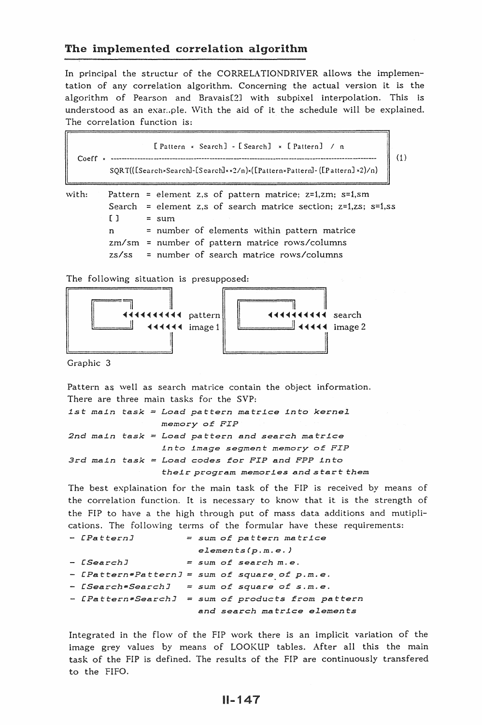## The implemented correlation algorithm

In principal the structur of the CORRELATIONDRIVER allows the implementation of any correlation algorithm. Concerning the actual version it is the algorithm of Pearson and Bravais[2J with subpixel interpolation. This is understood as an example. With the aid of it the schedule will be explained. The correlation function is:

[Pattern × Search] - [Search] × [Pattern] / n Coeff = ------------------------------------------------------------------------------------- ( 1) SQRT(([SearchxSearch]-[Search]xx2/n)x([PatternxPattern]-([Pattern] x2)/n)

with: Pattern = element z,s of pattern matrice; z=1,zm; s=1,sm Search = element z,s of search matrice section; z=1,zs; s=1,ss  $[ ]$  = sum n = number of elements within pattern matrice  $zm$ /sm = number of pattern matrice rows/columns zs/ss = number of search matrice rows/columns

The following situation is presupposed:



Graphic 3

Pattern as well as search matrice contain the object information. There are three main tasks for the SVP: 1st main task = Load pattern matrice into kernel memory *of FIP 2nd main task*  Load *pattern and search matrice 3rd main task Load codes* for *FIP and FPP into into image segment* memory *of FIP their program memories and start them* 

The best explaination for the main task of the FIP is received by means of the correlation function. It is necessary to know that it is the strength of the FIP to have a the high through put of mass data additions and mutiplications. The following terms of the formular have these requirements:

```
- [Pattern] sum of pattern matrice 
                    elements(p.m.e.) 
[Search] sum of search m. e. 
[Pattern•PatternJ sum of square of p.m.e. 
[Search•SearchJ =sum of square of s.m.e. 
[Pattern*SearchJ sum of products from pattern 
                   and search matrice elements
```
Integrated in the flow of the FIP work there is an implicit variation of the image grey values by means of LOOKUP tables. After all this the main task of the FIP is defined. The results of the FIP are continuously transfered to the FIFO.

# $II - 147$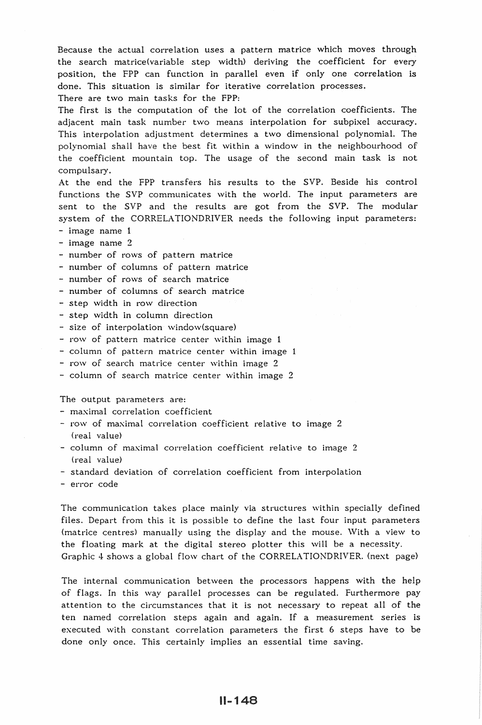Because the actual correlation uses a pattern matrice which moves through the search matrice(variable step width) deriving the coefficient for every position, the FPP can function in parallel even if only one correlation is done. This situation is similar for iterative correlation processes. There are two main tasks for the FPP:

The first is the computation of the lot of the correlation coefficients. The adjacent main task number two means interpolation for subpixel accuracy. This interpolation adjustment determines a two dimensional polynomial. The polynomial shall have the best fit within a window in the neighbourhood of the coefficient mountain top. The usage of the second main task is not compulsary.

At the end the FPP transfers his results to the SVP. Beside his control functions the SVP communicates with the world. The input parameters are sent to the SVP and the results are got from the SVP. The modular system of the CORRELATIONDRIVER needs the following input parameters:

- image name 1
- image name 2
- number of rows of pattern matrice
- number of columns of pattern matrice
- number of rows of search matrice
- number of columns of search matrice
- step width in row direction
- step width in column direction
- size of interpolation window(square)
- row of pattern matrice center within image 1
- column of pattern matrice center within image 1
- row of search matrice center within image 2
- $-$  column of search matrice center within image 2

The output parameters are:

- maximal correlation coefficient
- row of maximal correlation coefficient relative to image 2 (real value)
- $-$  column of maximal correlation coefficient relative to image 2 (real value)
- standard deviation of correlation coefficient from interpolation
- error code

The communication takes place mainly via structures within specially defined files. Depart from this it is possible to define the last four input parameters (matrice centres) manually using the display and the mouse. \Vith a view to the floating mark at the digital stereo plotter this will be a necessity. Graphic 4 shows a global flow chart of the CORRELATIONDRIVER. (next page)

The internal communication between the processors happens with the help of flags. In this way parallel processes can be regulated. Furthermore pay attention to the circumstances that it is not necessary to repeat all of the ten named correlation steps again and again. If a measurement series is executed with constant correlation parameters the first 6 steps have to be done only once. This certainly implies an essential time saving.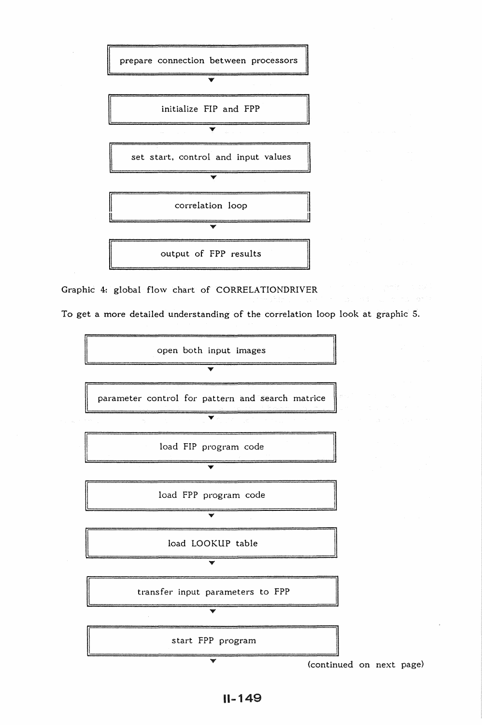

Graphic 4: global flow chart of CORRELATIONDRIVER

To get a more detailed understanding of the correlation loop look at graphic 5.



(continued on next page)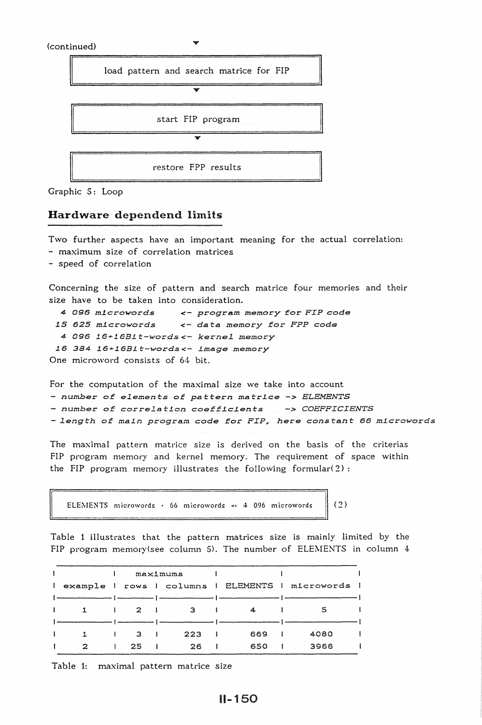



#### Hardware dependend limits

Two further aspects have an important meaning for the actual correlation:

- maximum size of correlation matrices

- speed of correlation

Concerning the size of pattern and search matrice four memories and their size have to be taken into consideration.

```
4 096 microwords
15 625 microwords
                       <- program memory £or FIP code 
                       <- data memory for FPP code 
 4 096 16+16Bit-words<- kernel memory 
 16 384 16+16B1t-words<- image memory
One microword consists of 64 bit.
```
For the computation of the maximal size we take into account - *number of elements of pattern* matrLce *-> ELEMENTS*  - *number of correlation coefficients -> COEFFICIENTS*   $-$  length of main program code for *FIP,* here constant 66 microwords

The maximal pattern matrice size is derived on the basis of the criterias FIP program memory and kernel memory. The requirement of space within the FIP program memory illustrates the following formular $(2)$ :

ELEMENTS microwords  $\cdot$  66 microwords  $\cdot$  4 096 microwords (2)

Table 1 illustrates that the pattern matrices size is mainly limited by the FIP program memory(see column 5). The number of ELEMENTS in column  $4$ 

|              |   |                 | maximums                                     |         |     |              |                                                  |
|--------------|---|-----------------|----------------------------------------------|---------|-----|--------------|--------------------------------------------------|
| $\mathbf{I}$ |   |                 |                                              |         |     |              | example   rows   columns   ELEMENTS   microwords |
|              |   |                 |                                              |         |     |              |                                                  |
|              |   |                 | $\begin{array}{ccc} & 2 & 1 & 3 \end{array}$ | and the | 4   |              | 5                                                |
|              |   |                 |                                              |         |     |              |                                                  |
|              |   | $\frac{1}{3}$ 1 | 223                                          |         | 669 |              | 4080                                             |
|              | 2 | 25              | 26                                           |         | 650 | $\mathbf{r}$ | 3966                                             |

Table 1: maximal pattern matrice size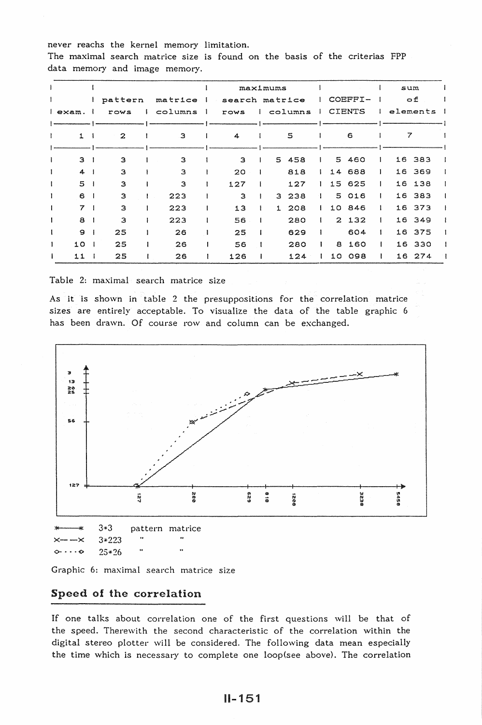never reachs the kernel memory limitation.

The maximal search matrice size is found on the basis of the criterias FPP data memory and image memory.

|         |              |  |         |   | maximums |                                |      |  |             |         |   |                           |               | sum |           |          |  |
|---------|--------------|--|---------|---|----------|--------------------------------|------|--|-------------|---------|---|---------------------------|---------------|-----|-----------|----------|--|
|         |              |  | pattern |   | matrice  | search matrice<br>$\mathbf{I}$ |      |  |             |         |   | COEFFI-                   |               |     | $\circ$ £ |          |  |
| l exam. |              |  | rows    |   | columns  | -1                             | rows |  |             | columns |   |                           | <b>CIENTS</b> |     |           | elements |  |
|         |              |  |         |   |          |                                |      |  |             |         |   |                           |               |     |           |          |  |
| ŧ       | $\mathbf{z}$ |  |         | з |          | 4                              | 5    |  |             |         | 6 |                           | 7             |     |           |          |  |
|         |              |  |         |   |          |                                |      |  |             |         |   |                           |               |     |           |          |  |
|         | 3            |  | з       |   | 3        |                                | 3    |  | $5^{\circ}$ | 458     |   |                           | 5 460         |     | 16        | 383      |  |
|         | 4            |  | 3       |   | 3        |                                | 20   |  |             | 818     |   |                           | 14 688        |     |           | 16 369   |  |
|         | 5            |  | 3       |   | 3        |                                | 127  |  |             | 127     |   |                           | 15 625        |     | 16        | 138      |  |
|         | 6            |  | 3       |   | 223      |                                | 3    |  | 3           | 238     |   |                           | 5 016         |     |           | 16 383   |  |
|         | 7            |  | з       |   | 223      |                                | 13   |  | 1           | 208     |   |                           | 10 846        |     |           | 16 373   |  |
|         | 8            |  | з       |   | 223      |                                | 56   |  |             | 280     |   | $\mathbf{2}^{\mathsf{I}}$ | 132           |     |           | 16 349   |  |
|         | 9            |  | 25      |   | 26       |                                | 25   |  |             | 629     |   |                           | 604           |     |           | 16 375   |  |
|         | 10           |  | 25      |   | 26       |                                | 56   |  |             | 280     |   | 8                         | 160           |     | 16        | 330      |  |
|         | 11           |  | 25      |   | 26       |                                | 126  |  |             | 124     |   | 10                        | 098           |     |           | 16 274   |  |

Table 2: maximal search matrice size

As it is shown in table 2 the presuppositions for the correlation matrice sizes are entirely acceptable. To visualize the data of the table graphic 6 has been drawn. Of course row and column can be exchanged.





Graphic 6: maximal search matrice size

## Speed of the correlation

If one talks about correlation one of the first questions will be that of the speed. Therewith the second characteristic of the correlation within the digital stereo plotter will be considered. The following data mean especially the time which is necessary to complete one loop(see above). The correlation

 $II - 151$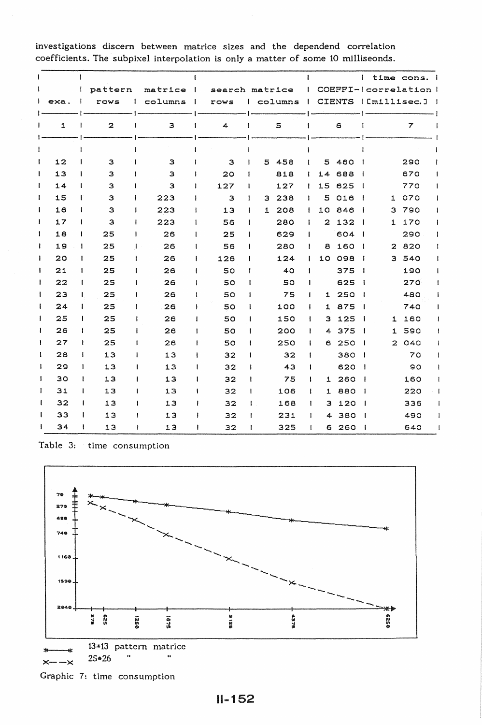$\mathbf{I}$  $\mathbf{I}$  $\mathbf{I}$ I time cons. I  $\mathbf{I}$  $\mathbf{I}$ pattern matrice  $\overline{\phantom{a}}$ search matrice  $\mathbf{I}$ COEFFI-Icorrelation I rows | columns exa.  $\mathbf{I}$ rows I columns  $\mathbf{I}$  $\mathbf{I}$ CIENTS I [millisec.] |  $\mathbf{I}$  $\mathbf{I}$ 1  $\mathbf{I}$ Ť  $\mathbf{I}$  $\mathbf{I}$ 2 3 4 5 6 7 Ī ł ł  $\mathbf{I}$ Ĭ Ì 12  $\mathbf{I}$  $\mathbf{I}$ 3 5 458  $\mathbf{I}$ 5 460 290 3 3 Ï 13 Ī  $\mathbf{I}$ 20 818 14 688 1 670 3 3  $\mathbf{I}$ 14  $\mathbf{I}$  $\mathbf{I}$ 127 127 15 625 770  $\mathbf{I}$ 3 3  $\mathbf{I}$ 15  $\mathbf{I}$ 3 223 5 016 1 070  $\mathbf{I}$  $\mathbf{I}$ 3 3 238  $\mathbf{I}$ 3 223 10 846 3 790 ł 16  $\pmb{\mathsf{I}}$  $\mathbf{I}$ 13 1 208 Ĩ  $\mathbf{I}$ 3 223 2 132 1 170  $\mathbf{I}$ 17  $\mathbf{I}$  $\overline{1}$ 56 280  $\mathbf{I}$  $\mathbf{I}$ ł 18  $\mathbf{I}$ 25 26  $\mathbf{I}$ 25 629  $\mathbf{I}$ 604 290  $\mathbf{I}$ ł 19  $\mathbf{I}$ 25 26  $\mathbf{I}$ 56 280  $\mathbf{i}$ a 160 2 820 Ï 10 098 3 540  $\mathbf{I}$  $20$  $\mathbf{I}$ 25 26  $\mathbf{I}$ 126 124  $\mathbf{I}$  $\mathbf{I}$ ì 21  $\overline{\phantom{a}}$ 25 26 50 40  $\mathbf{I}$ 375 | 190  $\mathbf{I}$ Ï 22  $\mathbf{I}$ 25 26  $\mathbf{I}$ 50 50  $\mathbf{I}$ 625 270 ł 23  $\overline{1}$ 25 26  $\mathbf{I}$ 50 75  $\mathbf{I}$ 1 250 480 1 875 740 ł 24  $\mathbf{I}$ 25 26  $\mathbf{I}$ 50 100  $\mathbf{I}$ J. 25  $\mathbf{I}$  $\mathbf{I}$ 25 26  $\mathbf{I}$ 50 150  $\mathbf{I}$ 3 125 1 160 25 26 4 375 1 590  $\mathbf{I}$ 26  $\mathbf{I}$  $\mathbf{I}$ 50 200  $\begin{array}{c} \rule{0pt}{2.5ex} \rule{0pt}{2.5ex} \rule{0pt}{2.5ex} \rule{0pt}{2.5ex} \rule{0pt}{2.5ex} \rule{0pt}{2.5ex} \rule{0pt}{2.5ex} \rule{0pt}{2.5ex} \rule{0pt}{2.5ex} \rule{0pt}{2.5ex} \rule{0pt}{2.5ex} \rule{0pt}{2.5ex} \rule{0pt}{2.5ex} \rule{0pt}{2.5ex} \rule{0pt}{2.5ex} \rule{0pt}{2.5ex} \rule{0pt}{2.5ex} \rule{0pt}{2.5ex} \rule{0pt}{2.5ex} \rule{0$ 27 J.  $\mathbf{I}$ 25 26  $\mathbf{I}$ 50 250  $\mathbf{I}$ 6 250 2 040 28  $\mathbf{I}$ 13 13 380 70 f.  $\begin{array}{c} \hline \end{array}$ 32 32  $\mathbf{I}$ J.  $\mathbf{I}$ 29  $\mathbf{1}$ 13 13  $\mathbf{I}$ 32 43  $\mathbf{I}$ 620 | 90  $\mathbf{I}$ 30 13 13  $\mathbf{I}$  $\mathbf{I}$  $\mathbf{I}$ 32 75  $\mathbf{I}$ 1 260 1 160 31  $\mathbf{r}$  $\mathbf{I}$ 13 13 ł 32 106  $\mathbf{I}$ 1 880 220  $\mathbf{I}$ 32  $\mathbf{I}$ 13 13  $\mathbf{I}$ 32 168  $\mathbf{I}$ 3 120 336  $\overline{\phantom{a}}$ 33  $\mathbf{I}$  $\mathbf{I}$ 13 13  $\mathbf{I}$ 32 231  $\mathbf{I}$ 4 380 1 490  $\mathbf{I}$ 34  $\mathbf{I}$ 13 13  $\mathbf{I}$ 6 260 640 I. 32 325  $\mathbf{I}$  $\overline{\phantom{a}}$ 

investigations discern between matrice sizes and the dependend correlation coefficients. The subpixel interpolation is only a matter of some 10 milliseonds.

Table 3: time consumption



Graphic 7: time consumption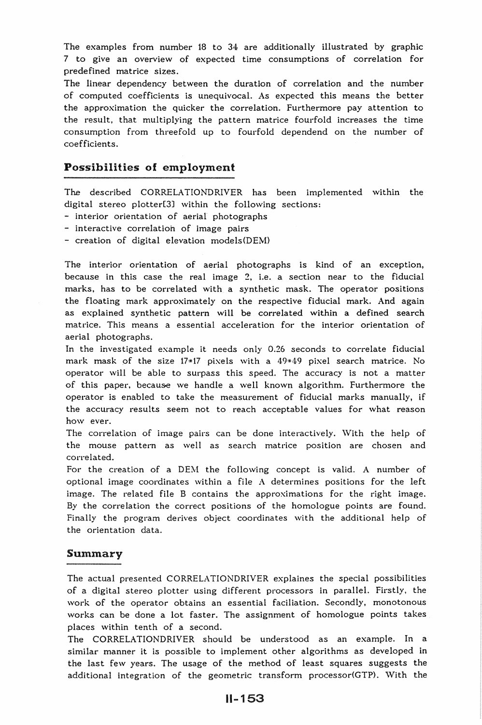The examples from number 18 to 34 are additionally illustrated by graphic 7 to give an overview of expected time consumptions of correlation for predefined matrice sizes.

The linear dependency between the duration of correlation and the number of computed coefficients is unequivocal. As expected this means the better the approximation the quicker the correlation. Furthermore pay attention to the result, that multiplying the pattern matrice fourfold increases the time consumption from threefold up to fourfold dependend on the number of coefficients.

# Possibilities of employment

The described CORRELA TIONDRIVER has been implemented within the digital stereo plotter[3J within the following sections:

- interior orientation of aerial photographs
- interactive correlation of image pairs
- $-$  creation of digital elevation models(DEM)

The interior orientation of aerial photographs is kind of an exception, because in this case the real image 2, i.e. a section near to the fiducial marks, has to be correlated with a synthetic mask. The operator positions the floating mark approximately on the respective fiducial mark. And again as explained synthetic pattern will be correlated within a defined search matrice. This means a essential acceleration for the interior orientation of aerial photographs.

In the investigated example it needs only 0.26 seconds to correlate fiducial mark mask of the size  $17*17$  pixels with a  $49*49$  pixel search matrice. No operator will be able to surpass this speed. The accuracy is not a matter of this paper, because we handle a well known algorithm. Furthermore the operator is enabled to take the measurement of fiducial marks manually, if the accuracy results seem not to reach acceptable values for what reason how ever.

The correlation of image pairs can be done interactively. With the help of the mouse pattern as well as search matrice position are chosen and correlated.

For the creation of a DEM the following concept is valid. A number of optional image coordinates within a file  $A$  determines positions for the left image. The related file B contains the approximations for the right image. By the correlation the correct positions of the homologue points are found. Finally the program derives object coordinates with the additional help of the orientation data.

### Summary

The actual presented CORRELATIONDRIVER explaines the special possibilities of a digital stereo plotter using different processors in parallel. Firstly, the work of the operator obtains an essential faciliation. Secondly, monotonous works can be done a lot faster. The assignment of homologue points takes places within tenth of a second.

The CORRELATIONDRIVER should be understood as an example. In a similar manner it is possible to implement other algorithms as developed in the last few years. The usage of the method of least squares suggests the additional integration of the geometric transform processor(GTP). With the